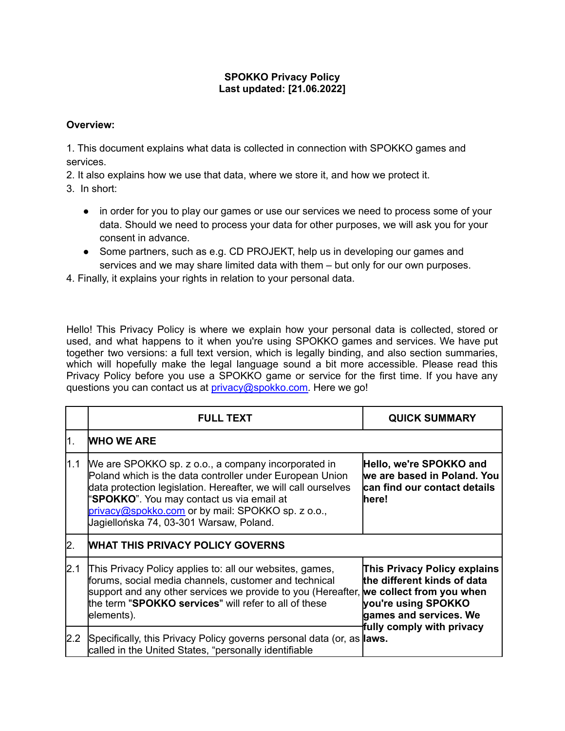## **SPOKKO Privacy Policy Last updated: [21.06.2022]**

## **Overview:**

1. This document explains what data is collected in connection with SPOKKO games and services.

2. It also explains how we use that data, where we store it, and how we protect it.

- 3. In short:
	- in order for you to play our games or use our services we need to process some of your data. Should we need to process your data for other purposes, we will ask you for your consent in advance.
	- Some partners, such as e.g. CD PROJEKT, help us in developing our games and services and we may share limited data with them – but only for our own purposes.

4. Finally, it explains your rights in relation to your personal data.

Hello! This Privacy Policy is where we explain how your personal data is collected, stored or used, and what happens to it when you're using SPOKKO games and services. We have put together two versions: a full text version, which is legally binding, and also section summaries, which will hopefully make the legal language sound a bit more accessible. Please read this Privacy Policy before you use a SPOKKO game or service for the first time. If you have any questions you can contact us at [privacy@spokko.com.](mailto:privacy@spokko.com) Here we go!

|                   | <b>FULL TEXT</b>                                                                                                                                                                                                                                                                                                               | <b>QUICK SUMMARY</b>                                                                                                                      |
|-------------------|--------------------------------------------------------------------------------------------------------------------------------------------------------------------------------------------------------------------------------------------------------------------------------------------------------------------------------|-------------------------------------------------------------------------------------------------------------------------------------------|
| 1.                | <b>WHO WE ARE</b>                                                                                                                                                                                                                                                                                                              |                                                                                                                                           |
| l1.1              | We are SPOKKO sp. z o.o., a company incorporated in<br>Poland which is the data controller under European Union<br>data protection legislation. Hereafter, we will call ourselves<br>"SPOKKO". You may contact us via email at<br>privacy@spokko.com or by mail: SPOKKO sp. z o.o.,<br>Jagiellońska 74, 03-301 Warsaw, Poland. | Hello, we're SPOKKO and<br>we are based in Poland. You<br>can find our contact details<br>lhere!                                          |
| 2.                | <b>WHAT THIS PRIVACY POLICY GOVERNS</b>                                                                                                                                                                                                                                                                                        |                                                                                                                                           |
| 2.1               | This Privacy Policy applies to: all our websites, games,<br>forums, social media channels, customer and technical<br>support and any other services we provide to you (Hereafter, we collect from you when<br>the term "SPOKKO services" will refer to all of these<br>elements).                                              | This Privacy Policy explains<br>the different kinds of data<br>you're using SPOKKO<br>games and services. We<br>fully comply with privacy |
| $2.2\overline{ }$ | Specifically, this Privacy Policy governs personal data (or, as <b>laws.</b><br>called in the United States, "personally identifiable                                                                                                                                                                                          |                                                                                                                                           |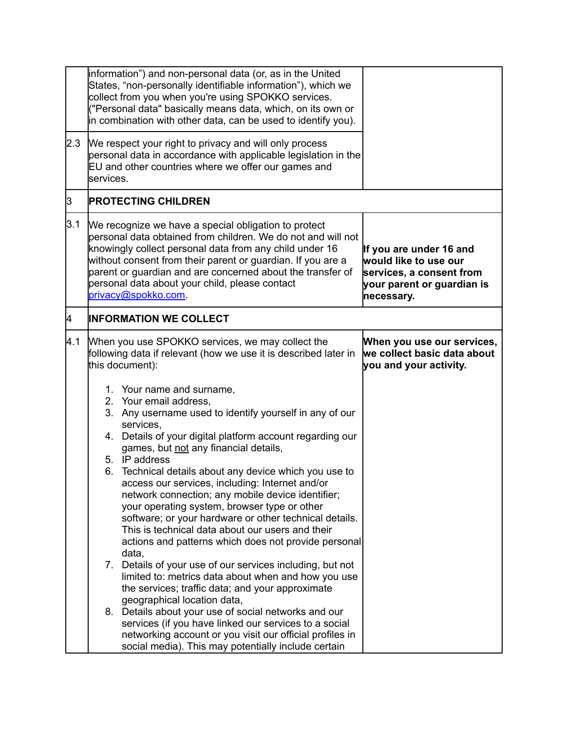|     |                                                                                                                                                                                                                                                                                                                                                                                                                                                                                                                                                                                                                                                                                                                                                                                                                                                                                                                                                                                                                                                                                                                       | information") and non-personal data (or, as in the United<br>States, "non-personally identifiable information"), which we<br>collect from you when you're using SPOKKO services.<br>("Personal data" basically means data, which, on its own or<br>in combination with other data, can be used to identify you).                                                                     |                                                                                                                          |
|-----|-----------------------------------------------------------------------------------------------------------------------------------------------------------------------------------------------------------------------------------------------------------------------------------------------------------------------------------------------------------------------------------------------------------------------------------------------------------------------------------------------------------------------------------------------------------------------------------------------------------------------------------------------------------------------------------------------------------------------------------------------------------------------------------------------------------------------------------------------------------------------------------------------------------------------------------------------------------------------------------------------------------------------------------------------------------------------------------------------------------------------|--------------------------------------------------------------------------------------------------------------------------------------------------------------------------------------------------------------------------------------------------------------------------------------------------------------------------------------------------------------------------------------|--------------------------------------------------------------------------------------------------------------------------|
| 2.3 | services.                                                                                                                                                                                                                                                                                                                                                                                                                                                                                                                                                                                                                                                                                                                                                                                                                                                                                                                                                                                                                                                                                                             | We respect your right to privacy and will only process<br>personal data in accordance with applicable legislation in the<br>EU and other countries where we offer our games and                                                                                                                                                                                                      |                                                                                                                          |
| IЗ  |                                                                                                                                                                                                                                                                                                                                                                                                                                                                                                                                                                                                                                                                                                                                                                                                                                                                                                                                                                                                                                                                                                                       | <b>PROTECTING CHILDREN</b>                                                                                                                                                                                                                                                                                                                                                           |                                                                                                                          |
| 3.1 |                                                                                                                                                                                                                                                                                                                                                                                                                                                                                                                                                                                                                                                                                                                                                                                                                                                                                                                                                                                                                                                                                                                       | We recognize we have a special obligation to protect<br>personal data obtained from children. We do not and will not<br>knowingly collect personal data from any child under 16<br>without consent from their parent or guardian. If you are a<br>parent or guardian and are concerned about the transfer of<br>personal data about your child, please contact<br>privacy@spokko.com | If you are under 16 and<br>would like to use our<br>services, a consent from<br>your parent or guardian is<br>necessary. |
| k.  | <b>INFORMATION WE COLLECT</b>                                                                                                                                                                                                                                                                                                                                                                                                                                                                                                                                                                                                                                                                                                                                                                                                                                                                                                                                                                                                                                                                                         |                                                                                                                                                                                                                                                                                                                                                                                      |                                                                                                                          |
| 4.1 | When you use SPOKKO services, we may collect the<br>following data if relevant (how we use it is described later in<br>this document):<br>1. Your name and surname,<br>2. Your email address,<br>3. Any username used to identify yourself in any of our<br>services,<br>4. Details of your digital platform account regarding our<br>games, but not any financial details,<br>5. IP address<br>6. Technical details about any device which you use to<br>access our services, including: Internet and/or<br>network connection; any mobile device identifier;<br>your operating system, browser type or other<br>software; or your hardware or other technical details.<br>This is technical data about our users and their<br>actions and patterns which does not provide personal<br>data,<br>7. Details of your use of our services including, but not<br>limited to: metrics data about when and how you use<br>the services; traffic data; and your approximate<br>geographical location data,<br>8. Details about your use of social networks and our<br>services (if you have linked our services to a social |                                                                                                                                                                                                                                                                                                                                                                                      | When you use our services,<br>we collect basic data about<br>you and your activity.                                      |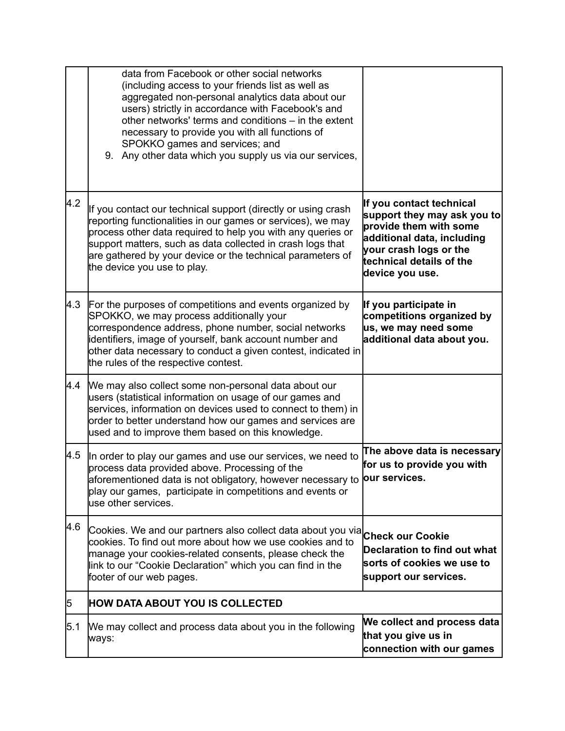|     | data from Facebook or other social networks<br>(including access to your friends list as well as<br>aggregated non-personal analytics data about our<br>users) strictly in accordance with Facebook's and<br>other networks' terms and conditions – in the extent<br>necessary to provide you with all functions of<br>SPOKKO games and services; and<br>9. Any other data which you supply us via our services, |                                                                                                                                                                                          |
|-----|------------------------------------------------------------------------------------------------------------------------------------------------------------------------------------------------------------------------------------------------------------------------------------------------------------------------------------------------------------------------------------------------------------------|------------------------------------------------------------------------------------------------------------------------------------------------------------------------------------------|
| 4.2 | If you contact our technical support (directly or using crash<br>reporting functionalities in our games or services), we may<br>process other data required to help you with any queries or<br>support matters, such as data collected in crash logs that<br>are gathered by your device or the technical parameters of<br>the device you use to play.                                                           | If you contact technical<br>support they may ask you to<br>provide them with some<br>additional data, including<br>your crash logs or the<br>technical details of the<br>device you use. |
| 4.3 | For the purposes of competitions and events organized by<br>SPOKKO, we may process additionally your<br>correspondence address, phone number, social networks<br>identifiers, image of yourself, bank account number and<br>other data necessary to conduct a given contest, indicated in<br>the rules of the respective contest.                                                                                | If you participate in<br>competitions organized by<br>us, we may need some<br>additional data about you.                                                                                 |
| 4.4 | We may also collect some non-personal data about our<br>users (statistical information on usage of our games and<br>services, information on devices used to connect to them) in<br>order to better understand how our games and services are<br>used and to improve them based on this knowledge.                                                                                                               |                                                                                                                                                                                          |
| 4.5 | In order to play our games and use our services, we need to<br>process data provided above. Processing of the<br>aforementioned data is not obligatory, however necessary to <b>jour services</b> .<br>play our games, participate in competitions and events or<br>use other services.                                                                                                                          | The above data is necessary<br>for us to provide you with                                                                                                                                |
| 4.6 | Cookies. We and our partners also collect data about you via Check our Cookie<br>cookies. To find out more about how we use cookies and to<br>manage your cookies-related consents, please check the<br>link to our "Cookie Declaration" which you can find in the<br>footer of our web pages.                                                                                                                   | Declaration to find out what<br>sorts of cookies we use to<br>support our services.                                                                                                      |
| 5   | <b>HOW DATA ABOUT YOU IS COLLECTED</b>                                                                                                                                                                                                                                                                                                                                                                           |                                                                                                                                                                                          |
| 5.1 | We may collect and process data about you in the following<br>ways:                                                                                                                                                                                                                                                                                                                                              | We collect and process data<br>that you give us in<br>connection with our games                                                                                                          |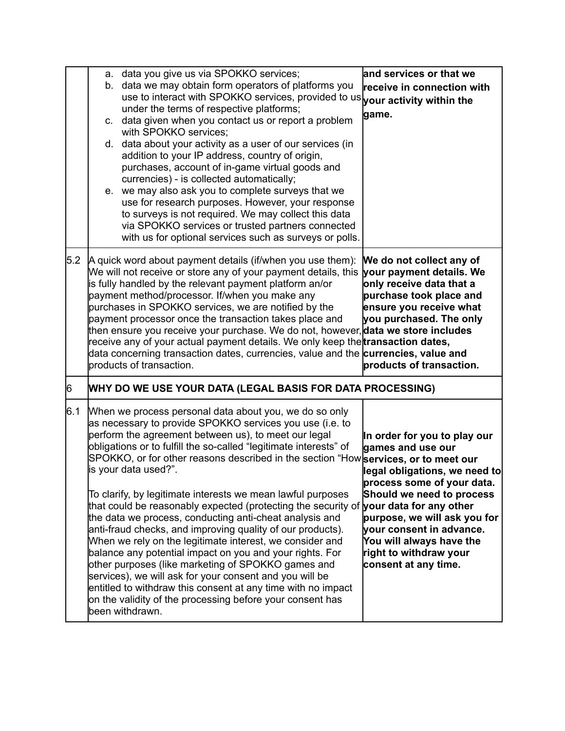|          | C. | a. data you give us via SPOKKO services;<br>b. data we may obtain form operators of platforms you<br>use to interact with SPOKKO services, provided to us your activity within the<br>under the terms of respective platforms;<br>data given when you contact us or report a problem<br>with SPOKKO services;<br>d. data about your activity as a user of our services (in<br>addition to your IP address, country of origin,<br>purchases, account of in-game virtual goods and<br>currencies) - is collected automatically;<br>e. we may also ask you to complete surveys that we<br>use for research purposes. However, your response<br>to surveys is not required. We may collect this data<br>via SPOKKO services or trusted partners connected<br>with us for optional services such as surveys or polls.                                                                                                                                                                                                                                       | and services or that we<br>receive in connection with<br>game.                                                                                                                                                                                                                          |
|----------|----|--------------------------------------------------------------------------------------------------------------------------------------------------------------------------------------------------------------------------------------------------------------------------------------------------------------------------------------------------------------------------------------------------------------------------------------------------------------------------------------------------------------------------------------------------------------------------------------------------------------------------------------------------------------------------------------------------------------------------------------------------------------------------------------------------------------------------------------------------------------------------------------------------------------------------------------------------------------------------------------------------------------------------------------------------------|-----------------------------------------------------------------------------------------------------------------------------------------------------------------------------------------------------------------------------------------------------------------------------------------|
| 5.2<br>6 |    | A quick word about payment details (if/when you use them):<br>We will not receive or store any of your payment details, this<br>is fully handled by the relevant payment platform an/or<br>payment method/processor. If/when you make any<br>purchases in SPOKKO services, we are notified by the<br>payment processor once the transaction takes place and<br>then ensure you receive your purchase. We do not, however, data we store includes<br>receive any of your actual payment details. We only keep the transaction dates,<br>data concerning transaction dates, currencies, value and the <b>currencies, value and</b><br>products of transaction.<br><b>WHY DO WE USE YOUR DATA (LEGAL BASIS FOR DATA PROCESSING)</b>                                                                                                                                                                                                                                                                                                                       | We do not collect any of<br>your payment details. We<br>only receive data that a<br>purchase took place and<br>ensure you receive what<br>you purchased. The only<br>products of transaction.                                                                                           |
| 6.1      |    | When we process personal data about you, we do so only<br>as necessary to provide SPOKKO services you use (i.e. to<br>perform the agreement between us), to meet our legal<br>obligations or to fulfill the so-called "legitimate interests" of<br>SPOKKO, or for other reasons described in the section "How <b>services, or to meet our</b><br>is your data used?".<br>To clarify, by legitimate interests we mean lawful purposes<br>that could be reasonably expected (protecting the security of <b>your data for any other</b><br>the data we process, conducting anti-cheat analysis and<br>anti-fraud checks, and improving quality of our products).<br>When we rely on the legitimate interest, we consider and<br>balance any potential impact on you and your rights. For<br>other purposes (like marketing of SPOKKO games and<br>services), we will ask for your consent and you will be<br>entitled to withdraw this consent at any time with no impact<br>on the validity of the processing before your consent has<br>been withdrawn. | In order for you to play our<br>games and use our<br>legal obligations, we need to<br>process some of your data.<br>Should we need to process<br>purpose, we will ask you for<br>your consent in advance.<br>You will always have the<br>right to withdraw your<br>consent at any time. |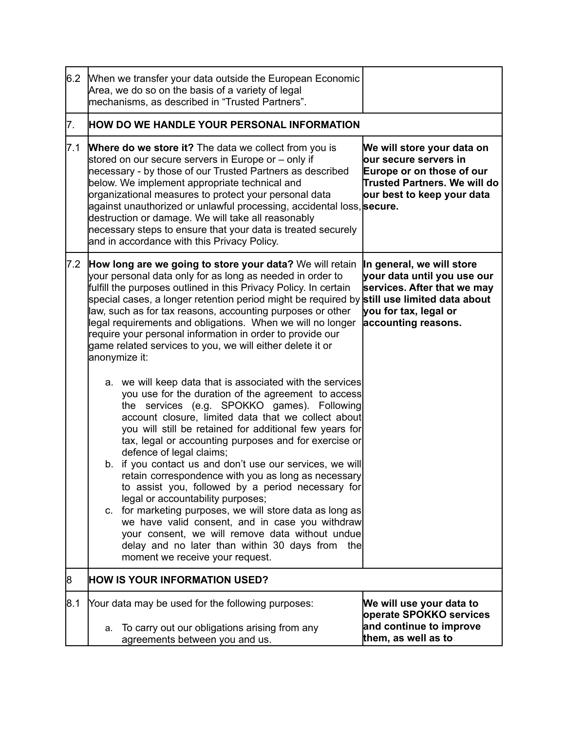| 6.2 | When we transfer your data outside the European Economic<br>Area, we do so on the basis of a variety of legal<br>mechanisms, as described in "Trusted Partners".                                                                                                                                                                                                                                                                                                                                                                                                                                                                                                                                                                                                                                                                            |                                                                                                                                                |  |
|-----|---------------------------------------------------------------------------------------------------------------------------------------------------------------------------------------------------------------------------------------------------------------------------------------------------------------------------------------------------------------------------------------------------------------------------------------------------------------------------------------------------------------------------------------------------------------------------------------------------------------------------------------------------------------------------------------------------------------------------------------------------------------------------------------------------------------------------------------------|------------------------------------------------------------------------------------------------------------------------------------------------|--|
| 7.  | <b>HOW DO WE HANDLE YOUR PERSONAL INFORMATION</b>                                                                                                                                                                                                                                                                                                                                                                                                                                                                                                                                                                                                                                                                                                                                                                                           |                                                                                                                                                |  |
| 7.1 | <b>Where do we store it?</b> The data we collect from you is<br>stored on our secure servers in Europe or - only if<br>necessary - by those of our Trusted Partners as described<br>below. We implement appropriate technical and<br>organizational measures to protect your personal data<br>against unauthorized or unlawful processing, accidental loss, secure.<br>destruction or damage. We will take all reasonably<br>necessary steps to ensure that your data is treated securely<br>and in accordance with this Privacy Policy.                                                                                                                                                                                                                                                                                                    | We will store your data on<br>our secure servers in<br>Europe or on those of our<br>Trusted Partners. We will do<br>our best to keep your data |  |
| 7.2 | How long are we going to store your data? We will retain<br>your personal data only for as long as needed in order to<br>fulfill the purposes outlined in this Privacy Policy. In certain<br>special cases, a longer retention period might be required by still use limited data about<br>law, such as for tax reasons, accounting purposes or other<br>legal requirements and obligations. When we will no longer<br>require your personal information in order to provide our<br>game related services to you, we will either delete it or<br>anonymize it:                                                                                                                                                                                                                                                                              | In general, we will store<br>your data until you use our<br>services. After that we may<br>you for tax, legal or<br>accounting reasons.        |  |
|     | a. we will keep data that is associated with the services<br>you use for the duration of the agreement to access<br>the services (e.g. SPOKKO games). Following<br>account closure, limited data that we collect about<br>you will still be retained for additional few years for<br>tax, legal or accounting purposes and for exercise or<br>defence of legal claims;<br>b. if you contact us and don't use our services, we will<br>retain correspondence with you as long as necessary<br>to assist you, followed by a period necessary for<br>legal or accountability purposes;<br>c. for marketing purposes, we will store data as long as<br>we have valid consent, and in case you withdraw<br>your consent, we will remove data without undue<br>delay and no later than within 30 days from the<br>moment we receive your request. |                                                                                                                                                |  |
| 18  | <b>HOW IS YOUR INFORMATION USED?</b>                                                                                                                                                                                                                                                                                                                                                                                                                                                                                                                                                                                                                                                                                                                                                                                                        |                                                                                                                                                |  |
| 8.1 | Your data may be used for the following purposes:<br>To carry out our obligations arising from any<br>a.<br>agreements between you and us.                                                                                                                                                                                                                                                                                                                                                                                                                                                                                                                                                                                                                                                                                                  | We will use your data to<br>operate SPOKKO services<br>and continue to improve<br>them, as well as to                                          |  |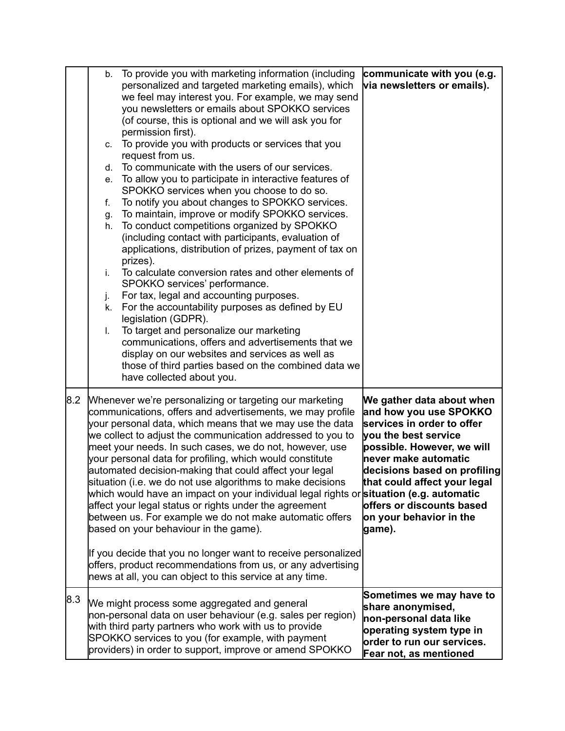|     |          | b. To provide you with marketing information (including<br>personalized and targeted marketing emails), which                                                                                                                                                                                                                                                                                                                                                                                                                                                                                                                                                                                                                                                                                                                                                                          | communicate with you (e.g.<br>via newsletters or emails).                                                                                                                                                                                                                                         |
|-----|----------|----------------------------------------------------------------------------------------------------------------------------------------------------------------------------------------------------------------------------------------------------------------------------------------------------------------------------------------------------------------------------------------------------------------------------------------------------------------------------------------------------------------------------------------------------------------------------------------------------------------------------------------------------------------------------------------------------------------------------------------------------------------------------------------------------------------------------------------------------------------------------------------|---------------------------------------------------------------------------------------------------------------------------------------------------------------------------------------------------------------------------------------------------------------------------------------------------|
|     |          | we feel may interest you. For example, we may send<br>you newsletters or emails about SPOKKO services                                                                                                                                                                                                                                                                                                                                                                                                                                                                                                                                                                                                                                                                                                                                                                                  |                                                                                                                                                                                                                                                                                                   |
|     |          | (of course, this is optional and we will ask you for                                                                                                                                                                                                                                                                                                                                                                                                                                                                                                                                                                                                                                                                                                                                                                                                                                   |                                                                                                                                                                                                                                                                                                   |
|     | C.       | permission first).<br>To provide you with products or services that you                                                                                                                                                                                                                                                                                                                                                                                                                                                                                                                                                                                                                                                                                                                                                                                                                |                                                                                                                                                                                                                                                                                                   |
|     |          | request from us.                                                                                                                                                                                                                                                                                                                                                                                                                                                                                                                                                                                                                                                                                                                                                                                                                                                                       |                                                                                                                                                                                                                                                                                                   |
|     | d.<br>e. | To communicate with the users of our services.<br>To allow you to participate in interactive features of                                                                                                                                                                                                                                                                                                                                                                                                                                                                                                                                                                                                                                                                                                                                                                               |                                                                                                                                                                                                                                                                                                   |
|     |          | SPOKKO services when you choose to do so.                                                                                                                                                                                                                                                                                                                                                                                                                                                                                                                                                                                                                                                                                                                                                                                                                                              |                                                                                                                                                                                                                                                                                                   |
|     | f.       | To notify you about changes to SPOKKO services.                                                                                                                                                                                                                                                                                                                                                                                                                                                                                                                                                                                                                                                                                                                                                                                                                                        |                                                                                                                                                                                                                                                                                                   |
|     | g.<br>h. | To maintain, improve or modify SPOKKO services.<br>To conduct competitions organized by SPOKKO                                                                                                                                                                                                                                                                                                                                                                                                                                                                                                                                                                                                                                                                                                                                                                                         |                                                                                                                                                                                                                                                                                                   |
|     |          | (including contact with participants, evaluation of                                                                                                                                                                                                                                                                                                                                                                                                                                                                                                                                                                                                                                                                                                                                                                                                                                    |                                                                                                                                                                                                                                                                                                   |
|     |          | applications, distribution of prizes, payment of tax on<br>prizes).                                                                                                                                                                                                                                                                                                                                                                                                                                                                                                                                                                                                                                                                                                                                                                                                                    |                                                                                                                                                                                                                                                                                                   |
|     | i.       | To calculate conversion rates and other elements of                                                                                                                                                                                                                                                                                                                                                                                                                                                                                                                                                                                                                                                                                                                                                                                                                                    |                                                                                                                                                                                                                                                                                                   |
|     | j.       | SPOKKO services' performance.<br>For tax, legal and accounting purposes.                                                                                                                                                                                                                                                                                                                                                                                                                                                                                                                                                                                                                                                                                                                                                                                                               |                                                                                                                                                                                                                                                                                                   |
|     |          | k. For the accountability purposes as defined by EU                                                                                                                                                                                                                                                                                                                                                                                                                                                                                                                                                                                                                                                                                                                                                                                                                                    |                                                                                                                                                                                                                                                                                                   |
|     | I.       | legislation (GDPR).<br>To target and personalize our marketing                                                                                                                                                                                                                                                                                                                                                                                                                                                                                                                                                                                                                                                                                                                                                                                                                         |                                                                                                                                                                                                                                                                                                   |
|     |          | communications, offers and advertisements that we                                                                                                                                                                                                                                                                                                                                                                                                                                                                                                                                                                                                                                                                                                                                                                                                                                      |                                                                                                                                                                                                                                                                                                   |
|     |          | display on our websites and services as well as                                                                                                                                                                                                                                                                                                                                                                                                                                                                                                                                                                                                                                                                                                                                                                                                                                        |                                                                                                                                                                                                                                                                                                   |
|     |          | those of third parties based on the combined data we<br>have collected about you.                                                                                                                                                                                                                                                                                                                                                                                                                                                                                                                                                                                                                                                                                                                                                                                                      |                                                                                                                                                                                                                                                                                                   |
| 8.2 |          | Whenever we're personalizing or targeting our marketing<br>communications, offers and advertisements, we may profile<br>your personal data, which means that we may use the data<br>we collect to adjust the communication addressed to you to<br>meet your needs. In such cases, we do not, however, use<br>your personal data for profiling, which would constitute<br>automated decision-making that could affect your legal<br>situation (i.e. we do not use algorithms to make decisions<br>which would have an impact on your individual legal rights or situation (e.g. automatic<br>affect your legal status or rights under the agreement<br>between us. For example we do not make automatic offers<br>based on your behaviour in the game).<br>If you decide that you no longer want to receive personalized<br>offers, product recommendations from us, or any advertising | We gather data about when<br>and how you use SPOKKO<br>services in order to offer<br>you the best service<br>possible. However, we will<br>never make automatic<br>decisions based on profiling<br>that could affect your legal<br>offers or discounts based<br>on your behavior in the<br>game). |
|     |          | news at all, you can object to this service at any time.                                                                                                                                                                                                                                                                                                                                                                                                                                                                                                                                                                                                                                                                                                                                                                                                                               |                                                                                                                                                                                                                                                                                                   |
| 8.3 |          | We might process some aggregated and general<br>non-personal data on user behaviour (e.g. sales per region)<br>with third party partners who work with us to provide<br>SPOKKO services to you (for example, with payment<br>providers) in order to support, improve or amend SPOKKO                                                                                                                                                                                                                                                                                                                                                                                                                                                                                                                                                                                                   | Sometimes we may have to<br>share anonymised,<br>non-personal data like<br>operating system type in<br>order to run our services.<br>Fear not, as mentioned                                                                                                                                       |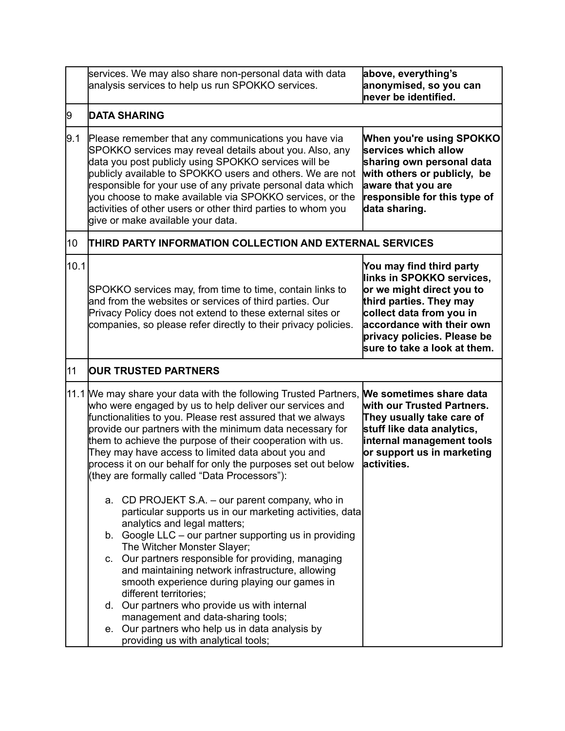|      | services. We may also share non-personal data with data<br>analysis services to help us run SPOKKO services.                                                                                                                                                                                                                                                                                                                                                                                                                                                                                               | above, everything's<br>anonymised, so you can<br>never be identified.                                                                                                                                                                 |  |
|------|------------------------------------------------------------------------------------------------------------------------------------------------------------------------------------------------------------------------------------------------------------------------------------------------------------------------------------------------------------------------------------------------------------------------------------------------------------------------------------------------------------------------------------------------------------------------------------------------------------|---------------------------------------------------------------------------------------------------------------------------------------------------------------------------------------------------------------------------------------|--|
| 9    | <b>DATA SHARING</b>                                                                                                                                                                                                                                                                                                                                                                                                                                                                                                                                                                                        |                                                                                                                                                                                                                                       |  |
| 9.1  | Please remember that any communications you have via<br>SPOKKO services may reveal details about you. Also, any<br>data you post publicly using SPOKKO services will be<br>publicly available to SPOKKO users and others. We are not<br>responsible for your use of any private personal data which<br>you choose to make available via SPOKKO services, or the<br>activities of other users or other third parties to whom you<br>give or make available your data.                                                                                                                                       | <b>When you're using SPOKKO</b><br>services which allow<br>sharing own personal data<br>with others or publicly, be<br>aware that you are<br>responsible for this type of<br>data sharing.                                            |  |
| 10   | THIRD PARTY INFORMATION COLLECTION AND EXTERNAL SERVICES                                                                                                                                                                                                                                                                                                                                                                                                                                                                                                                                                   |                                                                                                                                                                                                                                       |  |
| 10.1 | SPOKKO services may, from time to time, contain links to<br>and from the websites or services of third parties. Our<br>Privacy Policy does not extend to these external sites or<br>companies, so please refer directly to their privacy policies.                                                                                                                                                                                                                                                                                                                                                         | You may find third party<br>links in SPOKKO services,<br>or we might direct you to<br>third parties. They may<br>collect data from you in<br>accordance with their own<br>privacy policies. Please be<br>sure to take a look at them. |  |
| 11   | <b>OUR TRUSTED PARTNERS</b>                                                                                                                                                                                                                                                                                                                                                                                                                                                                                                                                                                                |                                                                                                                                                                                                                                       |  |
|      | 11.1 We may share your data with the following Trusted Partners,<br>who were engaged by us to help deliver our services and<br>functionalities to you. Please rest assured that we always<br>provide our partners with the minimum data necessary for<br>them to achieve the purpose of their cooperation with us.<br>They may have access to limited data about you and<br>process it on our behalf for only the purposes set out below<br>(they are formally called "Data Processors"):                                                                                                                  | We sometimes share data<br>with our Trusted Partners.<br>They usually take care of<br>stuff like data analytics,<br>internal management tools<br>or support us in marketing<br>activities.                                            |  |
|      | a. CD PROJEKT S.A. - our parent company, who in<br>particular supports us in our marketing activities, data<br>analytics and legal matters;<br>b. Google LLC – our partner supporting us in providing<br>The Witcher Monster Slayer;<br>c. Our partners responsible for providing, managing<br>and maintaining network infrastructure, allowing<br>smooth experience during playing our games in<br>different territories;<br>d. Our partners who provide us with internal<br>management and data-sharing tools;<br>e. Our partners who help us in data analysis by<br>providing us with analytical tools; |                                                                                                                                                                                                                                       |  |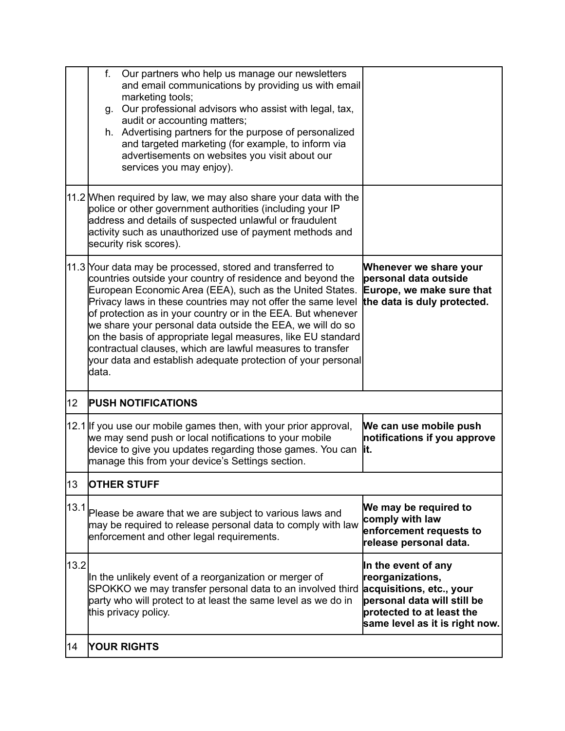|                 | f.     | Our partners who help us manage our newsletters<br>and email communications by providing us with email<br>marketing tools;<br>g. Our professional advisors who assist with legal, tax,<br>audit or accounting matters;<br>h. Advertising partners for the purpose of personalized<br>and targeted marketing (for example, to inform via<br>advertisements on websites you visit about our<br>services you may enjoy).                                                                                                                                                            |                                                                                                                                                                   |
|-----------------|--------|----------------------------------------------------------------------------------------------------------------------------------------------------------------------------------------------------------------------------------------------------------------------------------------------------------------------------------------------------------------------------------------------------------------------------------------------------------------------------------------------------------------------------------------------------------------------------------|-------------------------------------------------------------------------------------------------------------------------------------------------------------------|
|                 |        | 11.2 When required by law, we may also share your data with the<br>police or other government authorities (including your IP<br>address and details of suspected unlawful or fraudulent<br>activity such as unauthorized use of payment methods and<br>security risk scores).                                                                                                                                                                                                                                                                                                    |                                                                                                                                                                   |
|                 | ldata. | 11.3 Your data may be processed, stored and transferred to<br>countries outside your country of residence and beyond the<br>European Economic Area (EEA), such as the United States.<br>Privacy laws in these countries may not offer the same level<br>of protection as in your country or in the EEA. But whenever<br>we share your personal data outside the EEA, we will do so<br>on the basis of appropriate legal measures, like EU standard<br>contractual clauses, which are lawful measures to transfer<br>your data and establish adequate protection of your personal | Whenever we share your<br>personal data outside<br>Europe, we make sure that<br>the data is duly protected.                                                       |
| 12 <sub>2</sub> |        | <b>PUSH NOTIFICATIONS</b>                                                                                                                                                                                                                                                                                                                                                                                                                                                                                                                                                        |                                                                                                                                                                   |
|                 |        | 12.1 If you use our mobile games then, with your prior approval,<br>we may send push or local notifications to your mobile<br>device to give you updates regarding those games. You can<br>manage this from your device's Settings section.                                                                                                                                                                                                                                                                                                                                      | We can use mobile push<br>notifications if you approve<br>lit.                                                                                                    |
| 13              |        | <b>OTHER STUFF</b>                                                                                                                                                                                                                                                                                                                                                                                                                                                                                                                                                               |                                                                                                                                                                   |
|                 |        | 13.1 Please be aware that we are subject to various laws and<br>may be required to release personal data to comply with law<br>enforcement and other legal requirements.                                                                                                                                                                                                                                                                                                                                                                                                         | We may be required to<br>comply with law<br>enforcement requests to<br>release personal data.                                                                     |
| 13.2            |        | In the unlikely event of a reorganization or merger of<br>SPOKKO we may transfer personal data to an involved third<br>party who will protect to at least the same level as we do in<br>this privacy policy.                                                                                                                                                                                                                                                                                                                                                                     | In the event of any<br>reorganizations,<br>acquisitions, etc., your<br>personal data will still be<br>protected to at least the<br>same level as it is right now. |
| 14              |        | <b>YOUR RIGHTS</b>                                                                                                                                                                                                                                                                                                                                                                                                                                                                                                                                                               |                                                                                                                                                                   |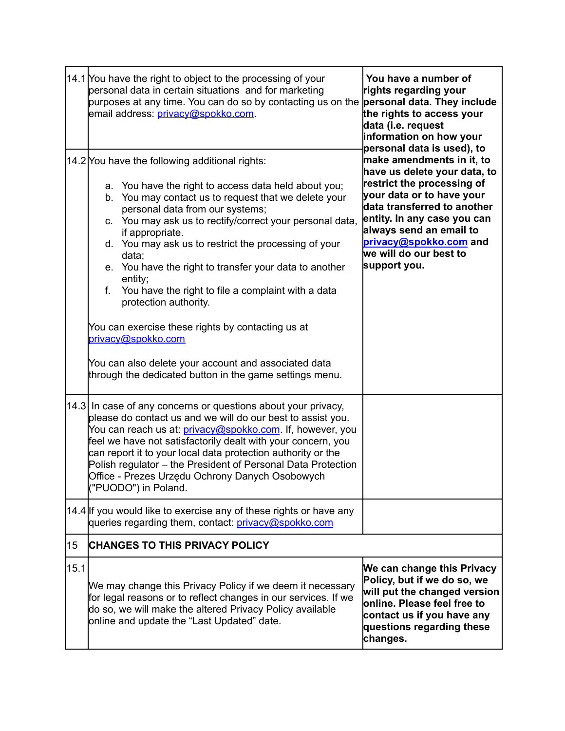|      | 14.1 You have the right to object to the processing of your<br>personal data in certain situations and for marketing<br>purposes at any time. You can do so by contacting us on the <b>personal data. They include</b><br>email address: privacy@spokko.com.                                                                                                                                                                                                                                                                                                                                                                                                                                              | You have a number of<br>rights regarding your<br>the rights to access your<br>data (i.e. request<br>information on how your<br>personal data is used), to<br>make amendments in it, to<br>have us delete your data, to<br>restrict the processing of<br>your data or to have your<br>data transferred to another<br>entity. In any case you can<br>always send an email to<br>privacy@spokko.com and<br>we will do our best to<br>support you. |  |
|------|-----------------------------------------------------------------------------------------------------------------------------------------------------------------------------------------------------------------------------------------------------------------------------------------------------------------------------------------------------------------------------------------------------------------------------------------------------------------------------------------------------------------------------------------------------------------------------------------------------------------------------------------------------------------------------------------------------------|------------------------------------------------------------------------------------------------------------------------------------------------------------------------------------------------------------------------------------------------------------------------------------------------------------------------------------------------------------------------------------------------------------------------------------------------|--|
|      | 14.2 You have the following additional rights:<br>a. You have the right to access data held about you;<br>b. You may contact us to request that we delete your<br>personal data from our systems;<br>c. You may ask us to rectify/correct your personal data,<br>if appropriate.<br>d. You may ask us to restrict the processing of your<br>data;<br>e. You have the right to transfer your data to another<br>entity;<br>f.<br>You have the right to file a complaint with a data<br>protection authority.<br>You can exercise these rights by contacting us at<br>privacy@spokko.com<br>You can also delete your account and associated data<br>through the dedicated button in the game settings menu. |                                                                                                                                                                                                                                                                                                                                                                                                                                                |  |
|      | $ 14.3 $ In case of any concerns or questions about your privacy,<br>please do contact us and we will do our best to assist you.<br>You can reach us at: privacy@spokko.com. If, however, you<br>feel we have not satisfactorily dealt with your concern, you<br>can report it to your local data protection authority or the<br>Polish regulator - the President of Personal Data Protection<br>Office - Prezes Urzędu Ochrony Danych Osobowych<br>("PUODO") in Poland.                                                                                                                                                                                                                                  |                                                                                                                                                                                                                                                                                                                                                                                                                                                |  |
|      | 14.4 If you would like to exercise any of these rights or have any<br>queries regarding them, contact: privacy@spokko.com                                                                                                                                                                                                                                                                                                                                                                                                                                                                                                                                                                                 |                                                                                                                                                                                                                                                                                                                                                                                                                                                |  |
| 15   | <b>CHANGES TO THIS PRIVACY POLICY</b>                                                                                                                                                                                                                                                                                                                                                                                                                                                                                                                                                                                                                                                                     |                                                                                                                                                                                                                                                                                                                                                                                                                                                |  |
| 15.1 | We may change this Privacy Policy if we deem it necessary<br>for legal reasons or to reflect changes in our services. If we<br>do so, we will make the altered Privacy Policy available<br>online and update the "Last Updated" date.                                                                                                                                                                                                                                                                                                                                                                                                                                                                     | We can change this Privacy<br>Policy, but if we do so, we<br>will put the changed version<br><b>lonline. Please feel free to</b><br>contact us if you have any<br>questions regarding these<br>changes.                                                                                                                                                                                                                                        |  |